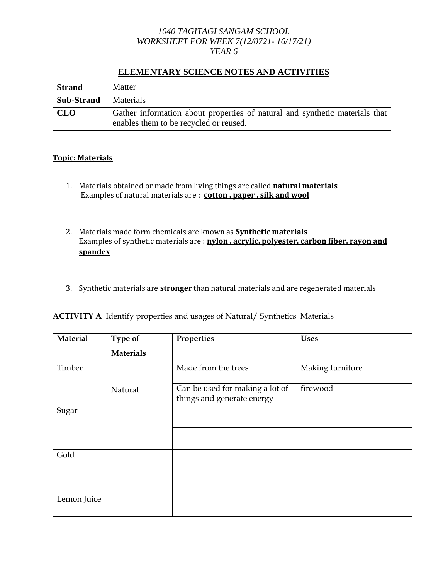## *1040 TAGITAGI SANGAM SCHOOL WORKSHEET FOR WEEK 7(12/0721- 16/17/21) YEAR 6*

| <b>Strand</b>     | Matter                                                                                                                |
|-------------------|-----------------------------------------------------------------------------------------------------------------------|
| <b>Sub-Strand</b> | Materials                                                                                                             |
| <b>CLO</b>        | Gather information about properties of natural and synthetic materials that<br>enables them to be recycled or reused. |

# **ELEMENTARY SCIENCE NOTES AND ACTIVITIES**

# **Topic: Materials**

- 1. Materials obtained or made from living things are called **natural materials** Examples of natural materials are : **cotton , paper , silk and wool**
- 2. Materials made form chemicals are known as **Synthetic materials** Examples of synthetic materials are : **nylon , acrylic, polyester, carbon fiber, rayon and spandex**
- 3. Synthetic materials are **stronger** than natural materials and are regenerated materials

|  |  |  | <b>ACTIVITY A</b> Identify properties and usages of Natural/ Synthetics Materials |  |  |
|--|--|--|-----------------------------------------------------------------------------------|--|--|
|--|--|--|-----------------------------------------------------------------------------------|--|--|

| Material<br>Type of |                  | Properties                                                    | <b>Uses</b>      |  |
|---------------------|------------------|---------------------------------------------------------------|------------------|--|
|                     | <b>Materials</b> |                                                               |                  |  |
| Timber              |                  | Made from the trees                                           | Making furniture |  |
|                     | Natural          | Can be used for making a lot of<br>things and generate energy | firewood         |  |
| Sugar               |                  |                                                               |                  |  |
|                     |                  |                                                               |                  |  |
| Gold                |                  |                                                               |                  |  |
|                     |                  |                                                               |                  |  |
| Lemon Juice         |                  |                                                               |                  |  |